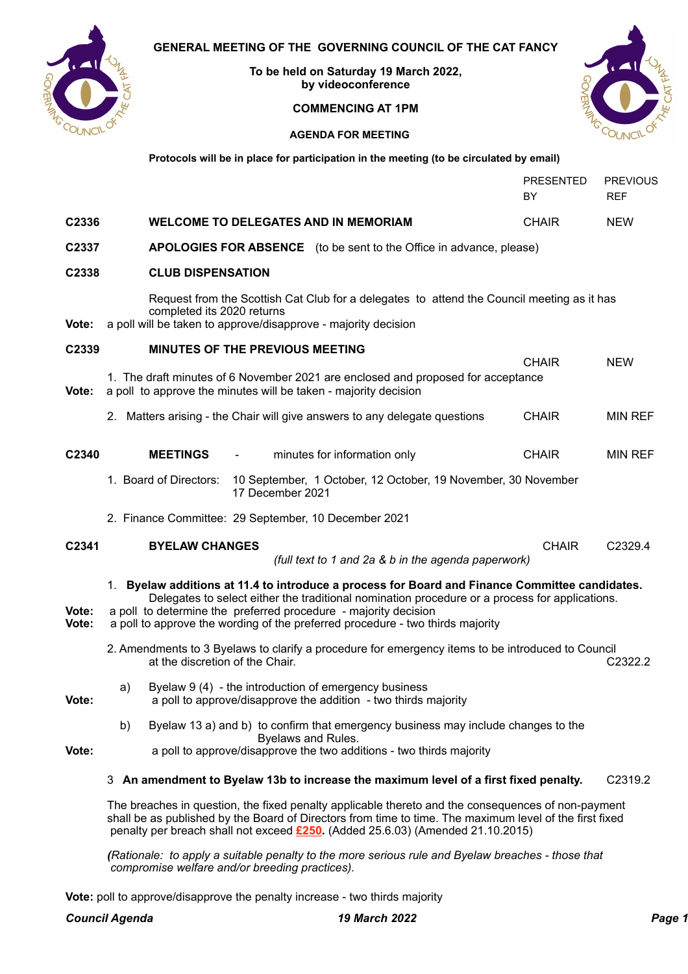

**To be held on Saturday 19 March 2022, by videoconference**

# **COMMENCING AT 1PM**



PRESENTED PREVIOUS BY REF

# **AGENDA FOR MEETING**

**Protocols will be in place for participation in the meeting (to be circulated by email)**

| C2336          | <b>WELCOME TO DELEGATES AND IN MEMORIAM</b><br><b>CHAIR</b>                                                                                                                                                                                                                                                                                           | <b>NEW</b>     |
|----------------|-------------------------------------------------------------------------------------------------------------------------------------------------------------------------------------------------------------------------------------------------------------------------------------------------------------------------------------------------------|----------------|
| C2337          | <b>APOLOGIES FOR ABSENCE</b> (to be sent to the Office in advance, please)                                                                                                                                                                                                                                                                            |                |
| C2338          | <b>CLUB DISPENSATION</b>                                                                                                                                                                                                                                                                                                                              |                |
| Vote:          | Request from the Scottish Cat Club for a delegates to attend the Council meeting as it has<br>completed its 2020 returns<br>a poll will be taken to approve/disapprove - majority decision                                                                                                                                                            |                |
| C2339          | MINUTES OF THE PREVIOUS MEETING<br><b>CHAIR</b>                                                                                                                                                                                                                                                                                                       | <b>NEW</b>     |
| Vote:          | 1. The draft minutes of 6 November 2021 are enclosed and proposed for acceptance<br>a poll to approve the minutes will be taken - majority decision                                                                                                                                                                                                   |                |
|                | 2. Matters arising - the Chair will give answers to any delegate questions<br><b>CHAIR</b>                                                                                                                                                                                                                                                            | <b>MIN REF</b> |
| C2340          | <b>MEETINGS</b><br>minutes for information only<br><b>CHAIR</b>                                                                                                                                                                                                                                                                                       | <b>MIN REF</b> |
|                | 1. Board of Directors:<br>10 September, 1 October, 12 October, 19 November, 30 November<br>17 December 2021                                                                                                                                                                                                                                           |                |
|                | 2. Finance Committee: 29 September, 10 December 2021                                                                                                                                                                                                                                                                                                  |                |
| C2341          | <b>BYELAW CHANGES</b><br><b>CHAIR</b><br>(full text to 1 and 2a & b in the agenda paperwork)                                                                                                                                                                                                                                                          | C2329.4        |
| Vote:<br>Vote: | 1. Byelaw additions at 11.4 to introduce a process for Board and Finance Committee candidates.<br>Delegates to select either the traditional nomination procedure or a process for applications.<br>a poll to determine the preferred procedure - majority decision<br>a poll to approve the wording of the preferred procedure - two thirds majority |                |
|                | 2. Amendments to 3 Byelaws to clarify a procedure for emergency items to be introduced to Council<br>at the discretion of the Chair.                                                                                                                                                                                                                  | C2322.2        |
| Vote:          | Byelaw 9 (4) - the introduction of emergency business<br>a)                                                                                                                                                                                                                                                                                           |                |
|                | a poll to approve/disapprove the addition - two thirds majority                                                                                                                                                                                                                                                                                       |                |
| Vote:          | Byelaw 13 a) and b) to confirm that emergency business may include changes to the<br>b)<br>Byelaws and Rules.<br>a poll to approve/disapprove the two additions - two thirds majority                                                                                                                                                                 |                |
|                | 3 An amendment to Byelaw 13b to increase the maximum level of a first fixed penalty.                                                                                                                                                                                                                                                                  | C2319.2        |

The breaches in question, the fixed penalty applicable thereto and the consequences of non-payment shall be as published by the Board of Directors from time to time. The maximum level of the first fixed penalty per breach shall not exceed **£250.** (Added 25.6.03) (Amended 21.10.2015)

*(Rationale: to apply a suitable penalty to the more serious rule and Byelaw breaches - those that compromise welfare and/or breeding practices).*

**Vote:** poll to approve/disapprove the penalty increase - two thirds majority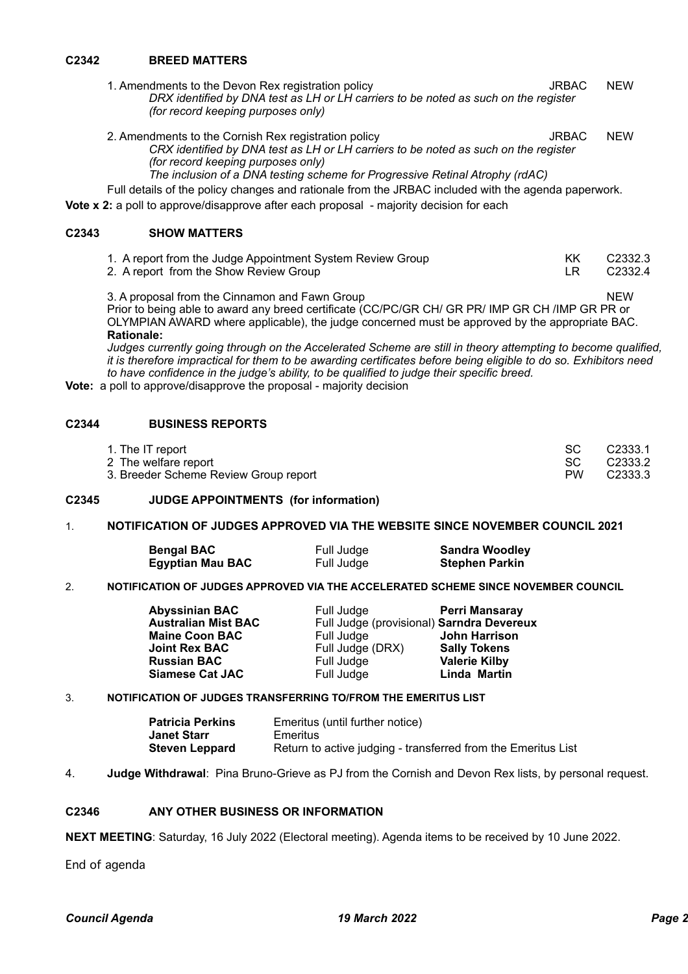# **C2342 BREED MATTERS**

1. Amendments to the Devon Rex registration policy **State Communist Communist Communist Communist Communist Communist Communist Communist Communist Communist Communist Communist Communist Communist Communist Communist Comm** *DRX identified by DNA test as LH or LH carriers to be noted as such on the register (for record keeping purposes only)*

2. Amendments to the Cornish Rex registration policy example of the Superintent Cornel of the VICW *CRX identified by DNA test as LH or LH carriers to be noted as such on the register (for record keeping purposes only) The inclusion of a DNA testing scheme for Progressive Retinal Atrophy (rdAC)*

Full details of the policy changes and rationale from the JRBAC included with the agenda paperwork. **Vote x 2:** a poll to approve/disapprove after each proposal - majority decision for each

# **C2343 SHOW MATTERS**

| 1. A report from the Judge Appointment System Review Group | C2332.3 |
|------------------------------------------------------------|---------|
| 2. A report from the Show Review Group                     | C2332.4 |

3. A proposal from the Cinnamon and Fawn Group NEW Prior to being able to award any breed certificate (CC/PC/GR CH/ GR PR/ IMP GR CH /IMP GR PR or OLYMPIAN AWARD where applicable), the judge concerned must be approved by the appropriate BAC. **Rationale:**

*Judges currently going through on the Accelerated Scheme are still in theory attempting to become qualified, it is therefore impractical for them to be awarding certificates before being eligible to do so. Exhibitors need to have confidence in the judge's ability, to be qualified to judge their specific breed.*

**Vote:** a poll to approve/disapprove the proposal - majority decision

### **C2344 BUSINESS REPORTS**

| 1. The IT report                             |  | C2333.1 |
|----------------------------------------------|--|---------|
| 2 The welfare report                         |  | C2333.2 |
| 3. Breeder Scheme Review Group report<br>PW. |  | C2333.3 |

#### **C2345 JUDGE APPOINTMENTS (for information)**

### 1. **NOTIFICATION OF JUDGES APPROVED VIA THE WEBSITE SINCE NOVEMBER COUNCIL 2021**

| <b>Bengal BAC</b>       | Full Judge | <b>Sandra Woodley</b> |
|-------------------------|------------|-----------------------|
| <b>Egyptian Mau BAC</b> | Full Judge | <b>Stephen Parkin</b> |

### 2. **NOTIFICATION OF JUDGES APPROVED VIA THE ACCELERATED SCHEME SINCE NOVEMBER COUNCIL**

| <b>Abyssinian BAC</b>      | Full Judge                                | <b>Perri Mansaray</b> |
|----------------------------|-------------------------------------------|-----------------------|
| <b>Australian Mist BAC</b> | Full Judge (provisional) Sarndra Devereux |                       |
| <b>Maine Coon BAC</b>      | Full Judge                                | <b>John Harrison</b>  |
| <b>Joint Rex BAC</b>       | Full Judge (DRX)                          | <b>Sally Tokens</b>   |
| <b>Russian BAC</b>         | Full Judge                                | <b>Valerie Kilby</b>  |
| <b>Siamese Cat JAC</b>     | Full Judge                                | Linda Martin          |

#### 3. **NOTIFICATION OF JUDGES TRANSFERRING TO/FROM THE EMERITUS LIST**

| <b>Patricia Perkins</b> | Emeritus (until further notice)                               |
|-------------------------|---------------------------------------------------------------|
| Janet Starr             | Emeritus                                                      |
| <b>Steven Leppard</b>   | Return to active judging - transferred from the Emeritus List |

4. **Judge Withdrawal**: Pina Bruno-Grieve as PJ from the Cornish and Devon Rex lists, by personal request.

### **C2346 ANY OTHER BUSINESS OR INFORMATION**

**NEXT MEETING**: Saturday, 16 July 2022 (Electoral meeting). Agenda items to be received by 10 June 2022.

End of agenda